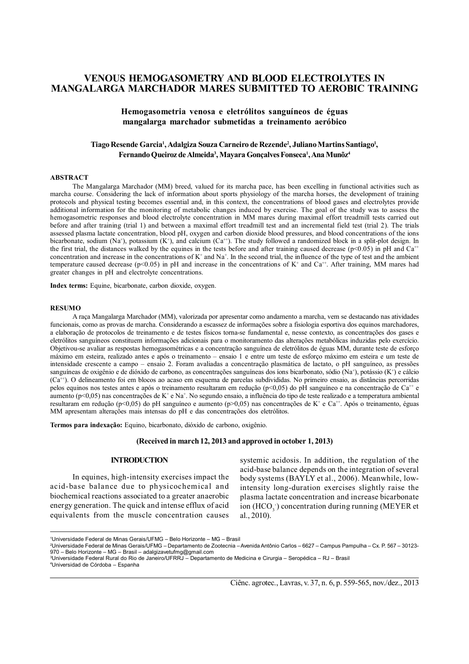# Venous hemogasometry and blood electrolytes... 559 **VENOUS HEMOGASOMETRY AND BLOOD ELECTROLYTES IN MANGALARGA MARCHADOR MARES SUBMITTED TO AEROBIC TRAINING**

## **Hemogasometria venosa e eletrólitos sanguíneos de éguas mangalarga marchador submetidas a treinamento aeróbico**

## $\boldsymbol{\Gamma}$ iago Resende Garcia<sup>1</sup>, Adalgiza Souza Carneiro de Rezende<sup>2</sup>, Juliano Martins Santiago<sup>1</sup>, **Fernando Queiroz de Almeida<sup>3</sup> , Mayara Gonçalves Fonseca<sup>1</sup> , Ana Munõz<sup>4</sup>**

#### **ABSTRACT**

The Mangalarga Marchador (MM) breed, valued for its marcha pace, has been excelling in functional activities such as marcha course. Considering the lack of information about sports physiology of the marcha horses, the development of training protocols and physical testing becomes essential and, in this context, the concentrations of blood gases and electrolytes provide additional information for the monitoring of metabolic changes induced by exercise. The goal of the study was to assess the hemogasometric responses and blood electrolyte concentration in MM mares during maximal effort treadmill tests carried out before and after training (trial 1) and between a maximal effort treadmill test and an incremental field test (trial 2). The trials assessed plasma lactate concentration, blood pH, oxygen and carbon dioxide blood pressures, and blood concentrations of the ions bicarbonate, sodium (Na<sup>+</sup>), potassium (K<sup>+</sup>), and calcium (Ca<sup>++</sup>). The study followed a randomized block in a split-plot design. In the first trial, the distances walked by the equines in the tests before and after training caused decrease ( $p<0.05$ ) in pH and Ca<sup>++</sup> concentration and increase in the concentrations of  $K^+$  and  $Na^+$ . In the second trial, the influence of the type of test and the ambient temperature caused decrease (p<0.05) in pH and increase in the concentrations of  $K^+$  and  $Ca^{++}$ . After training, MM mares had greater changes in pH and electrolyte concentrations.

**Index terms:** Equine, bicarbonate, carbon dioxide, oxygen.

#### **RESUMO**

A raça Mangalarga Marchador (MM), valorizada por apresentar como andamento a marcha, vem se destacando nas atividades funcionais, como as provas de marcha. Considerando a escassez de informações sobre a fisiologia esportiva dos equinos marchadores, a elaboração de protocolos de treinamento e de testes físicos torna-se fundamental e, nesse contexto, as concentrações dos gases e eletrólitos sanguíneos constituem informações adicionais para o monitoramento das alterações metabólicas induzidas pelo exercício. Objetivou-se avaliar as respostas hemogasométricas e a concentração sanguínea de eletrólitos de éguas MM, durante teste de esforço máximo em esteira, realizado antes e após o treinamento – ensaio 1 e entre um teste de esforço máximo em esteira e um teste de intensidade crescente a campo – ensaio 2. Foram avaliadas a concentração plasmática de lactato, o pH sanguíneo, as pressões sanguíneas de oxigênio e de dióxido de carbono, as concentrações sanguíneas dos íons bicarbonato, sódio (Na<sup>+</sup>), potássio (K<sup>+</sup>) e cálcio (Ca++). O delineamento foi em blocos ao acaso em esquema de parcelas subdivididas. No primeiro ensaio, as distâncias percorridas pelos equinos nos testes antes e após o treinamento resultaram em redução (p<0,05) do pH sanguíneo e na concentração de Ca<sup>++</sup> e aumento (p<0,05) nas concentrações de K<sup>+</sup> e Na<sup>+</sup>. No segundo ensaio, a influência do tipo de teste realizado e a temperatura ambiental resultaram em redução (p<0,05) do pH sanguíneo e aumento (p>0,05) nas concentrações de K<sup>+</sup> e Ca<sup>++</sup>. Após o treinamento, éguas MM apresentam alterações mais intensas do pH e das concentrações dos eletrólitos.

**Termos para indexação:** Equino, bicarbonato, dióxido de carbono, oxigênio.

#### **(Received in march 12, 2013 and approved in october 1, 2013)**

#### **INTRODUCTION**

In equines, high-intensity exercises impact the acid-base balance due to physicochemical and biochemical reactions associated to a greater anaerobic energy generation. The quick and intense efflux of acid equivalents from the muscle concentration causes

systemic acidosis. In addition, the regulation of the acid-base balance depends on the integration of several body systems (BAYLY et al., 2006). Meanwhile, lowintensity long-duration exercises slightly raise the plasma lactate concentration and increase bicarbonate ion  $(HCO<sub>3</sub>)$  concentration during running (MEYER et al., 2010).

Ciênc. agrotec., Lavras, v. 37, n. 6, p. 559-565, nov./dez., 2013

<sup>1</sup>Universidade Federal de Minas Gerais/UFMG – Belo Horizonte – MG – Brasil

<sup>2</sup>Universidade Federal de Minas Gerais/UFMG – Departamento de Zootecnia – Avenida Antônio Carlos – 6627 – Campus Pampulha – Cx. P. 567 – 30123- 970 – Belo Horizonte – MG – Brasil – adalgizavetufmg@gmail.com

<sup>3</sup>Universidade Federal Rural do Rio de Janeiro/UFRRJ – Departamento de Medicina e Cirurgia – Seropédica – RJ – Brasil <sup>4</sup>Universidad de Córdoba – Espanha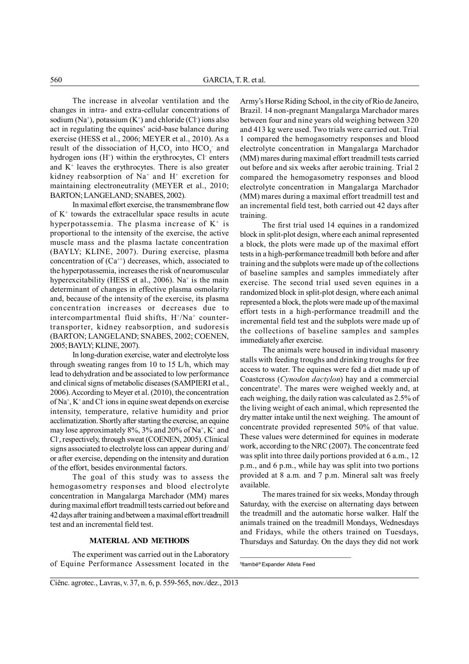The increase in alveolar ventilation and the changes in intra- and extra-cellular concentrations of sodium ( $Na^+$ ), potassium ( $K^+$ ) and chloride (Cl·) ions also act in regulating the equines' acid-base balance during exercise (HESS et al., 2006; MEYER et al., 2010). As a result of the dissociation of  $H_2CO_3$  into  $HCO_3$  and hydrogen ions (H<sup>+</sup>) within the erythrocytes, Cl enters and  $K<sup>+</sup>$  leaves the erythrocytes. There is also greater kidney reabsorption of Na<sup>+</sup> and H<sup>+</sup> excretion for maintaining electroneutrality (MEYER et al., 2010; BARTON; LANGELAND; SNABES, 2002).

In maximal effort exercise, the transmembrane flow of K<sup>+</sup> towards the extracellular space results in acute hyperpotassemia. The plasma increase of K<sup>+</sup> is proportional to the intensity of the exercise, the active muscle mass and the plasma lactate concentration (BAYLY; KLINE, 2007). During exercise, plasma concentration of  $(Ca^{+})$  decreases, which, associated to the hyperpotassemia, increases the risk of neuromuscular hyperexcitability (HESS et al., 2006). Na<sup>+</sup> is the main determinant of changes in effective plasma osmolarity and, because of the intensity of the exercise, its plasma concentration increases or decreases due to intercompartmental fluid shifts, H<sup>+</sup>/Na<sup>+</sup> countertransporter, kidney reabsorption, and sudoresis (BARTON; LANGELAND; SNABES, 2002; COENEN, 2005; BAYLY; KLINE, 2007).

In long-duration exercise, water and electrolyte loss through sweating ranges from 10 to 15 L/h, which may lead to dehydration and be associated to low performance and clinical signs of metabolic diseases (SAMPIERI et al., 2006). According to Meyer et al. (2010), the concentration of Na<sup>+</sup> , K<sup>+</sup> and Cl- ions in equine sweat depends on exercise intensity, temperature, relative humidity and prior acclimatization. Shortly after starting the exercise, an equine may lose approximately 8%, 3% and 20% of Na<sup>+</sup> , K<sup>+</sup> and Cl- , respectively, through sweat (COENEN, 2005). Clinical signs associated to electrolyte loss can appear during and/ or after exercise, depending on the intensity and duration of the effort, besides environmental factors.

The goal of this study was to assess the hemogasometry responses and blood electrolyte concentration in Mangalarga Marchador (MM) mares during maximal effort treadmill tests carried out before and 42 days after training and between a maximal effort treadmill test and an incremental field test.

### **MATERIAL AND METHODS**

The experiment was carried out in the Laboratory of Equine Performance Assessment located in the

Army's Horse Riding School, in the city of Rio de Janeiro, Brazil. 14 non-pregnant Mangalarga Marchador mares between four and nine years old weighing between 320 and 413 kg were used. Two trials were carried out. Trial 1 compared the hemogasometry responses and blood electrolyte concentration in Mangalarga Marchador (MM) mares during maximal effort treadmill tests carried out before and six weeks after aerobic training. Trial 2 compared the hemogasometry responses and blood electrolyte concentration in Mangalarga Marchador (MM) mares during a maximal effort treadmill test and an incremental field test, both carried out 42 days after training.

The first trial used 14 equines in a randomized block in split-plot design, where each animal represented a block, the plots were made up of the maximal effort tests in a high-performance treadmill both before and after training and the subplots were made up of the collections of baseline samples and samples immediately after exercise. The second trial used seven equines in a randomized block in split-plot design, where each animal represented a block, the plots were made up of the maximal effort tests in a high-performance treadmill and the incremental field test and the subplots were made up of the collections of baseline samples and samples immediately after exercise.

The animals were housed in individual masonry stalls with feeding troughs and drinking troughs for free access to water. The equines were fed a diet made up of Coastcross (*Cynodon dactylon*) hay and a commercial concentrate<sup>5</sup>. The mares were weighed weekly and, at each weighing, the daily ration was calculated as 2.5% of the living weight of each animal, which represented the dry matter intake until the next weighing. The amount of concentrate provided represented 50% of that value. These values were determined for equines in moderate work, according to the NRC (2007). The concentrate feed was split into three daily portions provided at 6 a.m., 12 p.m., and 6 p.m., while hay was split into two portions provided at 8 a.m. and 7 p.m. Mineral salt was freely available.

The mares trained for six weeks, Monday through Saturday, with the exercise on alternating days between the treadmill and the automatic horse walker. Half the animals trained on the treadmill Mondays, Wednesdays and Fridays, while the others trained on Tuesdays, Thursdays and Saturday. On the days they did not work

5 Itambé® Expander Atleta Feed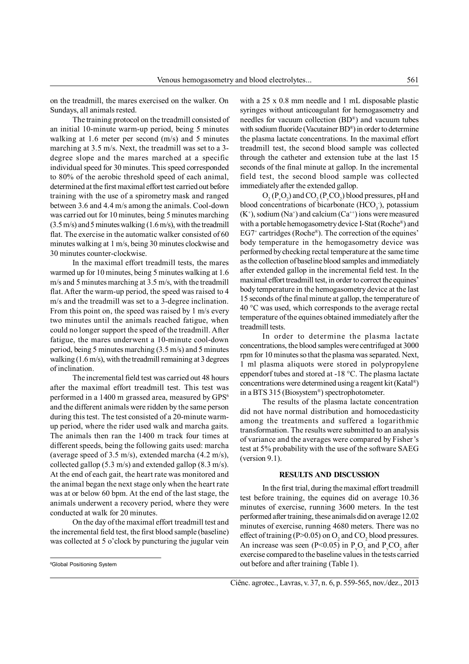on the treadmill, the mares exercised on the walker. On Sundays, all animals rested.

The training protocol on the treadmill consisted of an initial 10-minute warm-up period, being 5 minutes walking at 1.6 meter per second (m/s) and 5 minutes marching at 3.5 m/s. Next, the treadmill was set to a 3degree slope and the mares marched at a specific individual speed for 30 minutes. This speed corresponded to 80% of the aerobic threshold speed of each animal, determined at the first maximal effort test carried out before training with the use of a spirometry mask and ranged between 3.6 and 4.4 m/s among the animals. Cool-down was carried out for 10 minutes, being 5 minutes marching (3.5 m/s) and 5 minutes walking (1.6 m/s), with the treadmill flat. The exercise in the automatic walker consisted of 60 minutes walking at 1 m/s, being 30 minutes clockwise and 30 minutes counter-clockwise.

In the maximal effort treadmill tests, the mares warmed up for 10 minutes, being 5 minutes walking at 1.6 m/s and 5 minutes marching at 3.5 m/s, with the treadmill flat. After the warm-up period, the speed was raised to 4 m/s and the treadmill was set to a 3-degree inclination. From this point on, the speed was raised by 1 m/s every two minutes until the animals reached fatigue, when could no longer support the speed of the treadmill. After fatigue, the mares underwent a 10-minute cool-down period, being 5 minutes marching (3.5 m/s) and 5 minutes walking (1.6 m/s), with the treadmill remaining at 3 degrees of inclination.

The incremental field test was carried out 48 hours after the maximal effort treadmill test. This test was performed in a 1400 m grassed area, measured by GPS<sup>6</sup> and the different animals were ridden by the same person during this test. The test consisted of a 20-minute warmup period, where the rider used walk and marcha gaits. The animals then ran the 1400 m track four times at different speeds, being the following gaits used: marcha (average speed of 3.5 m/s), extended marcha (4.2 m/s), collected gallop (5.3 m/s) and extended gallop (8.3 m/s). At the end of each gait, the heart rate was monitored and the animal began the next stage only when the heart rate was at or below 60 bpm. At the end of the last stage, the animals underwent a recovery period, where they were conducted at walk for 20 minutes.

On the day of the maximal effort treadmill test and the incremental field test, the first blood sample (baseline) was collected at 5 o'clock by puncturing the jugular vein

with a 25 x 0.8 mm needle and 1 mL disposable plastic syringes without anticoagulant for hemogasometry and needles for vacuum collection (BD® ) and vacuum tubes with sodium fluoride (Vacutainer BD® ) in order to determine the plasma lactate concentrations. In the maximal effort treadmill test, the second blood sample was collected through the catheter and extension tube at the last 15 seconds of the final minute at gallop. In the incremental field test, the second blood sample was collected immediately after the extended gallop.

 $O_2(P_vO_2)$  and  $CO_2(P_vCO_2)$  blood pressures, pH and blood concentrations of bicarbonate  $(HCO<sub>3</sub>)$ , potassium  $(K^+)$ , sodium  $(Na^+)$  and calcium  $(Ca^{++})$  ions were measured with a portable hemogasometry device I-Stat (Roche® ) and EG7<sup>+</sup> cartridges (Roche®). The correction of the equines' body temperature in the hemogasometry device was performed by checking rectal temperature at the same time as the collection of baseline blood samples and immediately after extended gallop in the incremental field test. In the maximal effort treadmill test, in order to correct the equines' body temperature in the hemogasometry device at the last 15 seconds of the final minute at gallop, the temperature of 40 °C was used, which corresponds to the average rectal temperature of the equines obtained immediately after the treadmill tests.

In order to determine the plasma lactate concentrations, the blood samples were centrifuged at 3000 rpm for 10 minutes so that the plasma was separated. Next, 1 ml plasma aliquots were stored in polypropylene eppendorf tubes and stored at -18 °C. The plasma lactate concentrations were determined using a reagent kit (Katal® ) in a BTS 315 (Biosystem® ) spectrophotometer.

The results of the plasma lactate concentration did not have normal distribution and homocedasticity among the treatments and suffered a logarithmic transformation. The results were submitted to an analysis of variance and the averages were compared by Fisher's test at 5% probability with the use of the software SAEG (version 9.1).

### **RESULTS AND DISCUSSION**

In the first trial, during the maximal effort treadmill test before training, the equines did on average 10.36 minutes of exercise, running 3600 meters. In the test performed after training, these animals did on average 12.02 minutes of exercise, running 4680 meters. There was no effect of training (P>0.05) on  $O_2$  and  $CO_2$  blood pressures. An increase was seen (P<0.05) in  $P_vO_2$  and  $P_vCO_2$  after exercise compared to the baseline values in the tests carried <sup>6</sup>Global Positioning System **business and after training (Table 1)**.

Ciênc. agrotec., Lavras, v. 37, n. 6, p. 559-565, nov./dez., 2013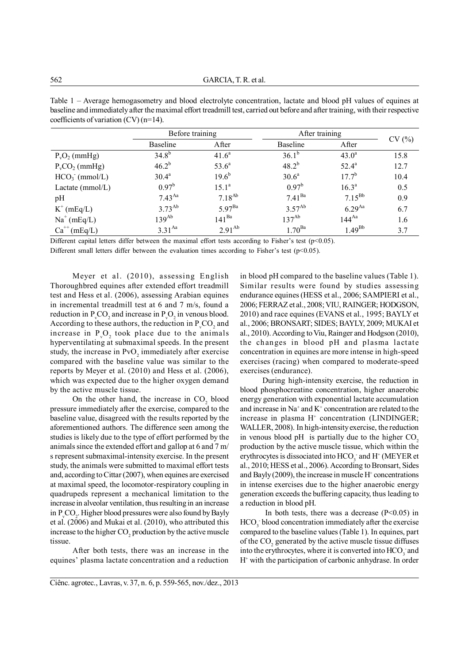| Table 1 – Average hemogasometry and blood electrolyte concentration, lactate and blood pH values of equines at                 |  |
|--------------------------------------------------------------------------------------------------------------------------------|--|
| baseline and immediately after the maximal effort treadmill test, carried out before and after training, with their respective |  |
| coefficients of variation $(CV)$ (n=14).                                                                                       |  |

|                    | Before training |                | After training  |                   |       |
|--------------------|-----------------|----------------|-----------------|-------------------|-------|
|                    | <b>Baseline</b> | After          | <b>Baseline</b> | After             | CV(%) |
| $P_vO_2$ (mmHg)    | $34.8^{b}$      | $41.6^{\circ}$ | $36.1^{b}$      | $43.0^{\circ}$    | 15.8  |
| $P_vCO_2$ (mmHg)   | $46.2^{b}$      | $53.6^{\circ}$ | $48.2^{b}$      | $52.4^{\circ}$    | 12.7  |
| $HCO3$ (mmol/L)    | $30.4^{\rm a}$  | $19.6^{b}$     | $30.6^a$        | $17.7^{b}$        | 10.4  |
| Lactate $(mmol/L)$ | $0.97^b$        | $15.1^{\circ}$ | $0.97^{\rm b}$  | $16.3^{\circ}$    | 0.5   |
| pH                 | $7.43^{Aa}$     | $7.18^{Ab}$    | $7.41^{Ba}$     | $7.15^{Bb}$       | 0.9   |
| $K^+$ (mEq/L)      | $3.73^{Ab}$     | $5.97^{Ba}$    | $3.57^{Ab}$     | $6.29^{Aa}$       | 6.7   |
| $Na^+(mEq/L)$      | $139^{Ab}$      | $141^{Ba}$     | $137^{Ab}$      | $144^{\text{Aa}}$ | 1.6   |
| $Ca^{++}$ (mEq/L)  | $3.31^{Aa}$     | $2.91^{Ab}$    | $1.70^{Ba}$     | $1.49^{Bb}$       | 3.7   |

Different capital letters differ between the maximal effort tests according to Fisher's test ( $p<0.05$ ).

Different small letters differ between the evaluation times according to Fisher's test (p<0.05).

Meyer et al. (2010), assessing English Thoroughbred equines after extended effort treadmill test and Hess et al. (2006), assessing Arabian equines in incremental treadmill test at 6 and 7 m/s, found a reduction in  $P_vCO_2$  and increase in  $P_vO_2$  in venous blood. According to these authors, the reduction in  $P_{v}CO_{2}$  and increase in  $P_vO_2$  took place due to the animals hyperventilating at submaximal speeds. In the present study, the increase in  $PvO_2$  immediately after exercise compared with the baseline value was similar to the reports by Meyer et al. (2010) and Hess et al. (2006), which was expected due to the higher oxygen demand by the active muscle tissue.

On the other hand, the increase in  $CO<sub>2</sub>$  blood pressure immediately after the exercise, compared to the baseline value, disagreed with the results reported by the aforementioned authors. The difference seen among the studies is likely due to the type of effort performed by the animals since the extended effort and gallop at 6 and 7 m/ s represent submaximal-intensity exercise. In the present study, the animals were submitted to maximal effort tests and, according to Cittar (2007), when equines are exercised at maximal speed, the locomotor-respiratory coupling in quadrupeds represent a mechanical limitation to the increase in alveolar ventilation, thus resulting in an increase in  $P_vCO_2$ . Higher blood pressures were also found by Bayly et al. (2006) and Mukai et al. (2010), who attributed this increase to the higher  $\mathrm{CO}_2$  production by the active muscle tissue.

After both tests, there was an increase in the equines' plasma lactate concentration and a reduction

in blood pH compared to the baseline values (Table 1). Similar results were found by studies assessing endurance equines (HESS et al., 2006; SAMPIERI et al., 2006; FERRAZ et al., 2008; VIU, RAINGER; HODGSON, 2010) and race equines (EVANS et al., 1995; BAYLY et al., 2006; BRONSART; SIDES; BAYLY, 2009; MUKAI et al., 2010). According to Viu, Rainger and Hodgson (2010), the changes in blood pH and plasma lactate concentration in equines are more intense in high-speed exercises (racing) when compared to moderate-speed exercises (endurance).

During high-intensity exercise, the reduction in blood phosphocreatine concentration, higher anaerobic energy generation with exponential lactate accumulation and increase in  $Na^+$  and  $K^+$  concentration are related to the increase in plasma H<sup>+</sup> concentration (LINDINGER; WALLER, 2008). In high-intensity exercise, the reduction in venous blood  $pH$  is partially due to the higher  $CO<sub>2</sub>$ production by the active muscle tissue, which within the erythrocytes is dissociated into  $HCO<sub>3</sub>$  and  $H<sup>+</sup>$  (MEYER et al., 2010; HESS et al., 2006). According to Bronsart, Sides and Bayly  $(2009)$ , the increase in muscle H<sup>+</sup> concentrations in intense exercises due to the higher anaerobic energy generation exceeds the buffering capacity, thus leading to a reduction in blood pH.

In both tests, there was a decrease  $(P<0.05)$  in  $HCO<sub>3</sub>$  blood concentration immediately after the exercise compared to the baseline values (Table 1). In equines, part of the  $\mathrm{CO}_2$  generated by the active muscle tissue diffuses into the erythrocytes, where it is converted into  $HCO<sub>3</sub>$  and H<sup>+</sup> with the participation of carbonic anhydrase. In order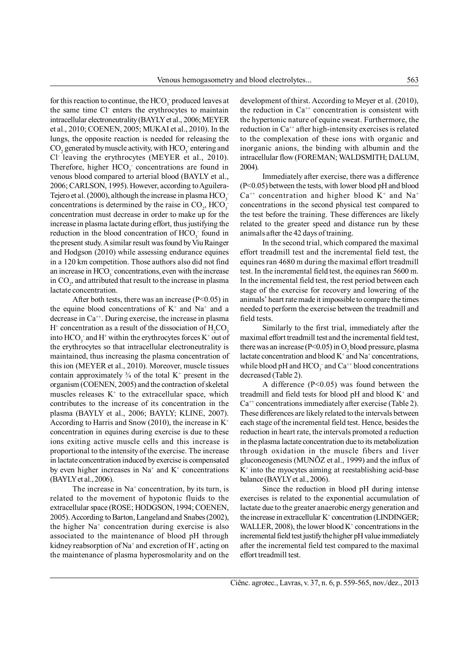for this reaction to continue, the  $HCO<sub>3</sub>$  produced leaves at the same time Cl- enters the erythrocytes to maintain intracellular electroneutrality (BAYLY et al., 2006; MEYER et al., 2010; COENEN, 2005; MUKAI et al., 2010). In the lungs, the opposite reaction is needed for releasing the  $\rm CO_{2}$  generated by muscle activity, with HCO<sub>3</sub> entering and Cl- leaving the erythrocytes (MEYER et al., 2010). Therefore, higher  $HCO<sub>3</sub>$  concentrations are found in venous blood compared to arterial blood (BAYLY et al., 2006; CARLSON, 1995). However, according to Aguilera-Tejero et al. (2000), although the increase in plasma  $HCO<sub>3</sub>$ concentrations is determined by the raise in  $CO_2$ ,  $HCO_3$ concentration must decrease in order to make up for the increase in plasma lactate during effort, thus justifying the reduction in the blood concentration of  $HCO<sub>3</sub>$  found in the present study. A similar result was found by Viu Rainger and Hodgson (2010) while assessing endurance equines in a 120 km competition. Those authors also did not find an increase in  $HCO<sub>3</sub>$  concentrations, even with the increase in  $CO<sub>2</sub>$ , and attributed that result to the increase in plasma lactate concentration.

After both tests, there was an increase  $(P<0.05)$  in the equine blood concentrations of  $K^+$  and Na<sup>+</sup> and a decrease in  $Ca^{++}$ . During exercise, the increase in plasma  $H^+$  concentration as a result of the dissociation of  $H_2CO_3$ into  $HCO_3^-$  and  $H^+$  within the erythrocytes forces  $K^+$  out of the erythrocytes so that intracellular electroneutrality is maintained, thus increasing the plasma concentration of this ion (MEYER et al., 2010). Moreover, muscle tissues contain approximately  $\frac{3}{4}$  of the total K<sup>+</sup> present in the organism (COENEN, 2005) and the contraction of skeletal muscles releases  $K^+$  to the extracellular space, which contributes to the increase of its concentration in the plasma (BAYLY et al., 2006; BAYLY; KLINE, 2007). According to Harris and Snow (2010), the increase in  $K^+$ concentration in equines during exercise is due to these ions exiting active muscle cells and this increase is proportional to the intensity of the exercise. The increase in lactate concentration induced by exercise is compensated by even higher increases in  $Na^+$  and  $K^+$  concentrations (BAYLY et al., 2006).

The increase in Na<sup>+</sup> concentration, by its turn, is related to the movement of hypotonic fluids to the extracellular space (ROSE; HODGSON, 1994; COENEN, 2005). According to Barton, Langeland and Snabes (2002), the higher Na<sup>+</sup> concentration during exercise is also associated to the maintenance of blood pH through kidney reabsorption of Na<sup>+</sup> and excretion of H<sup>+</sup>, acting on the maintenance of plasma hyperosmolarity and on the development of thirst. According to Meyer et al. (2010), the reduction in  $Ca^{++}$  concentration is consistent with the hypertonic nature of equine sweat. Furthermore, the reduction in Ca<sup>++</sup> after high-intensity exercises is related to the complexation of these ions with organic and inorganic anions, the binding with albumin and the intracellular flow (FOREMAN; WALDSMITH; DALUM, 2004).

Immediately after exercise, there was a difference (P<0.05) between the tests, with lower blood pH and blood  $Ca^{++}$  concentration and higher blood  $K^+$  and  $Na^+$ concentrations in the second physical test compared to the test before the training. These differences are likely related to the greater speed and distance run by these animals after the 42 days of training.

In the second trial, which compared the maximal effort treadmill test and the incremental field test, the equines ran 4680 m during the maximal effort treadmill test. In the incremental field test, the equines ran 5600 m. In the incremental field test, the rest period between each stage of the exercise for recovery and lowering of the animals' heart rate made it impossible to compare the times needed to perform the exercise between the treadmill and field tests.

Similarly to the first trial, immediately after the maximal effort treadmill test and the incremental field test, there was an increase (P<0.05) in  $O_2$  blood pressure, plasma lactate concentration and blood  $K^+$  and  $Na^+$  concentrations, while blood pH and  $HCO_3^-$  and  $Ca^{++}$  blood concentrations decreased (Table 2).

A difference (P<0.05) was found between the treadmill and field tests for blood pH and blood K<sup>+</sup> and  $Ca^{++}$  concentrations immediately after exercise (Table 2). These differences are likely related to the intervals between each stage of the incremental field test. Hence, besides the reduction in heart rate, the intervals promoted a reduction in the plasma lactate concentration due to its metabolization through oxidation in the muscle fibers and liver gluconeogenesis (MUNÕZ et al., 1999) and the influx of K<sup>+</sup> into the myocytes aiming at reestablishing acid-base balance (BAYLY et al., 2006).

Since the reduction in blood pH during intense exercises is related to the exponential accumulation of lactate due to the greater anaerobic energy generation and the increase in extracellular K<sup>+</sup> concentration (LINDINGER; WALLER,  $2008$ , the lower blood  $K<sup>+</sup>$  concentrations in the incremental field test justify the higher pH value immediately after the incremental field test compared to the maximal effort treadmill test.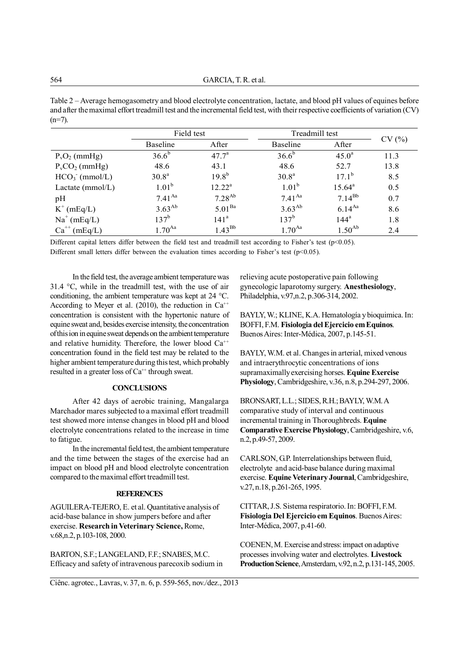Table 2 – Average hemogasometry and blood electrolyte concentration, lactate, and blood pH values of equines before and after the maximal effort treadmill test and the incremental field test, with their respective coefficients of variation (CV)  $(n=7)$ .

|                      | Field test        |                  | Treadmill test    |                 |       |
|----------------------|-------------------|------------------|-------------------|-----------------|-------|
|                      | <b>Baseline</b>   | After            | <b>Baseline</b>   | After           | CV(%) |
| $P_vO_2$ (mmHg)      | $36.6^{b}$        | $47.7^{\rm a}$   | $36.6^{b}$        | $45.0^{\rm a}$  | 11.3  |
| $P_vCO_2$ (mmHg)     | 48.6              | 43.1             | 48.6              | 52.7            | 13.8  |
| $HCO3$ (mmol/L)      | 30.8 <sup>a</sup> | $19.8^{b}$       | 30.8 <sup>a</sup> | $17.1^{\rm b}$  | 8.5   |
| Lactate $(mmol/L)$   | $1.01^{\rm b}$    | $12.22^{\rm a}$  | 1.01 <sup>b</sup> | $15.64^{\circ}$ | 0.5   |
| pH                   | $7.41^{Aa}$       | $7.28^{Ab}$      | $7.41^{Aa}$       | $7.14^{Bb}$     | 0.7   |
| $K^+$ (mEq/L)        | $3.63^{Ab}$       | $5.01^{Ba}$      | $3.63^{Ab}$       | $6.14^{Aa}$     | 8.6   |
| $Na^+$ (mEq/L)       | $137^{b}$         | 141 <sup>a</sup> | $137^{b}$         | $144^a$         | 1.8   |
| $Ca^{++}$<br>(mEq/L) | .70 <sup>Aa</sup> | $1.43^{\rm Bb}$  | $1.70^{Aa}$       | $1.50^{Ab}$     | 2.4   |

Different capital letters differ between the field test and treadmill test according to Fisher's test (p<0.05). Different small letters differ between the evaluation times according to Fisher's test ( $p$ <0.05).

In the field test, the average ambient temperature was 31.4  $\degree$ C, while in the treadmill test, with the use of air conditioning, the ambient temperature was kept at 24 °C. According to Meyer et al. (2010), the reduction in  $Ca^{+}$ concentration is consistent with the hypertonic nature of equine sweat and, besides exercise intensity, the concentration of this ion in equine sweat depends on the ambient temperature and relative humidity. Therefore, the lower blood  $Ca^{++}$ concentration found in the field test may be related to the higher ambient temperature during this test, which probably resulted in a greater loss of  $Ca^{++}$  through sweat.

## **CONCLUSIONS**

After 42 days of aerobic training, Mangalarga Marchador mares subjected to a maximal effort treadmill test showed more intense changes in blood pH and blood electrolyte concentrations related to the increase in time to fatigue.

In the incremental field test, the ambient temperature and the time between the stages of the exercise had an impact on blood pH and blood electrolyte concentration compared to the maximal effort treadmill test.

#### **REFERENCES**

AGUILERA-TEJERO, E. et al. Quantitative analysis of acid-base balance in show jumpers before and after exercise. **Research in Veterinary Science,** Rome, v.68,n.2, p.103-108, 2000.

BARTON, S.F.; LANGELAND, F.F.; SNABES, M.C. Efficacy and safety of intravenous parecoxib sodium in relieving acute postoperative pain following gynecologic laparotomy surgery. **Anesthesiology**, Philadelphia, v.97,n.2, p.306-314, 2002.

BAYLY, W.; KLINE, K.A. Hematología y bioquimica. In: BOFFI, F.M. **Fisiologia del Ejercicio em Equinos**. Buenos Aires: Inter-Médica, 2007, p.145-51.

BAYLY, W.M. et al. Changes in arterial, mixed venous and intraerythrocytic concentrations of ions supramaximally exercising horses. **Equine Exercise Physiology**, Cambridgeshire, v.36, n.8, p.294-297, 2006.

BRONSART, L.L.; SIDES, R.H.; BAYLY, W.M. A comparative study of interval and continuous incremental training in Thoroughbreds. **Equine Comparative Exercise Physiology**, Cambridgeshire, v.6, n.2, p.49-57, 2009.

CARLSON, G.P. Interrelationships between fluid, electrolyte and acid-base balance during maximal exercise. **Equine Veterinary Journal**, Cambridgeshire, v.27, n.18, p.261-265, 1995.

CITTAR, J.S. Sistema respiratorio. In: BOFFI, F.M. **Fisiologia Del Ejercicio em Equinos**. Buenos Aires: Inter-Médica, 2007, p.41-60.

COENEN, M. Exercise and stress: impact on adaptive processes involving water and electrolytes. **Livestock Production Science**, Amsterdam, v.92, n.2, p.131-145, 2005.